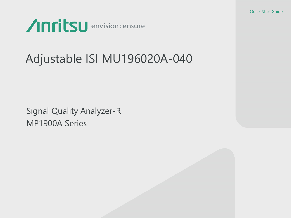Quick Start Guide



# Adjustable ISI MU196020A-040

Signal Quality Analyzer-R MP1900A Series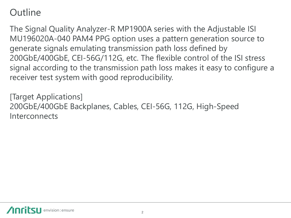### **Outline**

The Signal Quality Analyzer-R MP1900A series with the Adjustable ISI MU196020A-040 PAM4 PPG option uses a pattern generation source to generate signals emulating transmission path loss defined by 200GbE/400GbE, CEI-56G/112G, etc. The flexible control of the ISI stress signal according to the transmission path loss makes it easy to configure a receiver test system with good reproducibility.

[Target Applications] 200GbE/400GbE Backplanes, Cables, CEI-56G, 112G, High-Speed Interconnects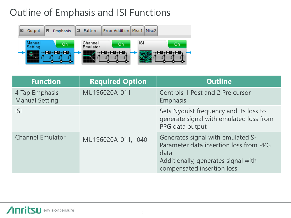### Outline of Emphasis and ISI Functions



| <b>Function</b>                         | <b>Required Option</b> | <b>Outline</b>                                                                                                                                           |  |
|-----------------------------------------|------------------------|----------------------------------------------------------------------------------------------------------------------------------------------------------|--|
| 4 Tap Emphasis<br><b>Manual Setting</b> | MU196020A-011          | Controls 1 Post and 2 Pre cursor<br>Emphasis                                                                                                             |  |
| <b>ISI</b>                              |                        | Sets Nyquist frequency and its loss to<br>generate signal with emulated loss from<br>PPG data output                                                     |  |
| <b>Channel Emulator</b>                 | MU196020A-011, -040    | Generates signal with emulated S-<br>Parameter data insertion loss from PPG<br>data<br>Additionally, generates signal with<br>compensated insertion loss |  |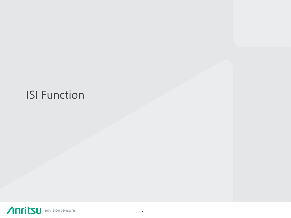# ISI Function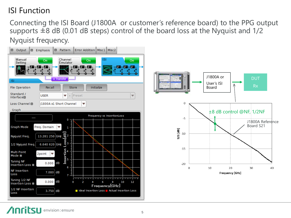#### ISI Function

Connecting the ISI Board (J1800A or customer's reference board) to the PPG output supports  $\pm 8$  dB (0.01 dB steps) control of the board loss at the Nyquist and 1/2 Nyquist frequency.

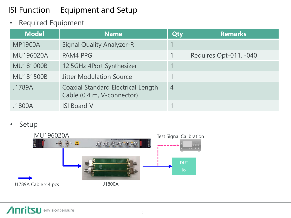#### ISI Function Equipment and Setup

• Required Equipment

| <b>Model</b>     | <b>Name</b>                                                             | Qty            | <b>Remarks</b>         |
|------------------|-------------------------------------------------------------------------|----------------|------------------------|
| <b>MP1900A</b>   | <b>Signal Quality Analyzer-R</b>                                        |                |                        |
| <b>MU196020A</b> | PAM4 PPG                                                                |                | Requires Opt-011, -040 |
| <b>MU181000B</b> | 12.5GHz 4Port Synthesizer                                               |                |                        |
| <b>MU181500B</b> | <b>Jitter Modulation Source</b>                                         |                |                        |
| J1789A           | <b>Coaxial Standard Electrical Length</b><br>Cable (0.4 m, V-connector) | $\overline{4}$ |                        |
| J1800A           | <b>ISI Board V</b>                                                      |                |                        |

• Setup

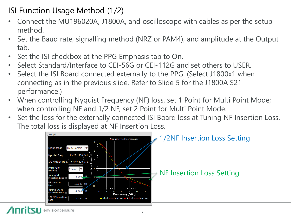- ISI Function Usage Method (1/2)
- Connect the MU196020A, J1800A, and oscilloscope with cables as per the setup method.
- Set the Baud rate, signalling method (NRZ or PAM4), and amplitude at the Output tab.
- Set the ISI checkbox at the PPG Emphasis tab to On.
- Select Standard/Interface to CEI-56G or CEI-112G and set others to USER.
- Select the ISI Board connected externally to the PPG. (Select J1800x1 when connecting as in the previous slide. Refer to Slide 5 for the J1800A S21 performance.)
- When controlling Nyquist Frequency (NF) loss, set 1 Point for Multi Point Mode; when controlling NF and 1/2 NF, set 2 Point for Multi Point Mode.
- Set the loss for the externally connected ISI Board loss at Tuning NF Insertion Loss. The total loss is displayed at NF Insertion Loss.

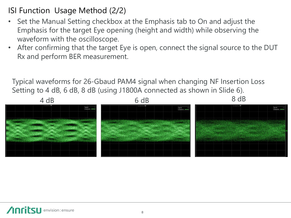- ISI Function Usage Method (2/2)
- Set the Manual Setting checkbox at the Emphasis tab to On and adjust the Emphasis for the target Eye opening (height and width) while observing the waveform with the oscilloscope.
- After confirming that the target Eye is open, connect the signal source to the DUT Rx and perform BER measurement.

Typical waveforms for 26-Gbaud PAM4 signal when changing NF Insertion Loss Setting to 4 dB, 6 dB, 8 dB (using J1800A connected as shown in Slide 6).

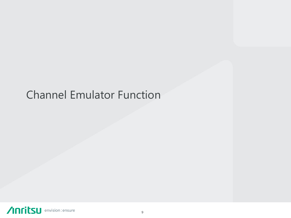## Channel Emulator Function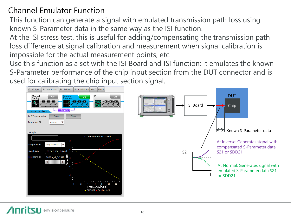#### Channel Emulator Function

This function can generate a signal with emulated transmission path loss using known S-Parameter data in the same way as the ISI function.

At the ISI stress test, this is useful for adding/compensating the transmission path loss difference at signal calibration and measurement when signal calibration is impossible for the actual measurement points, etc.

Use this function as a set with the ISI Board and ISI function; it emulates the known S-Parameter performance of the chip input section from the DUT connector and is used for calibrating the chip input section signal.

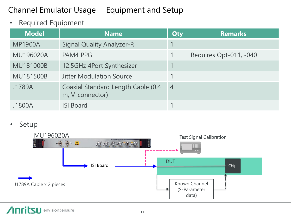#### Channel Emulator Usage Equipment and Setup

• Required Equipment

| <b>Model</b>     | <b>Name</b>                                           | Qty            | <b>Remarks</b>         |
|------------------|-------------------------------------------------------|----------------|------------------------|
| <b>MP1900A</b>   | <b>Signal Quality Analyzer-R</b>                      |                |                        |
| <b>MU196020A</b> | PAM4 PPG                                              |                | Requires Opt-011, -040 |
| <b>MU181000B</b> | 12.5GHz 4Port Synthesizer                             |                |                        |
| <b>MU181500B</b> | <b>Jitter Modulation Source</b>                       |                |                        |
| J1789A           | Coaxial Standard Length Cable (0.4<br>m, V-connector) | $\overline{4}$ |                        |
| J1800A           | <b>ISI Board</b>                                      |                |                        |

• Setup

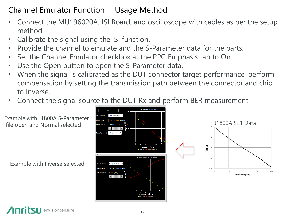#### Channel Emulator Function Usage Method

- Connect the MU196020A, ISI Board, and oscilloscope with cables as per the setup method.
- Calibrate the signal using the ISI function.
- Provide the channel to emulate and the S-Parameter data for the parts.
- Set the Channel Emulator checkbox at the PPG Emphasis tab to On.
- Use the Open button to open the S-Parameter data.
- When the signal is calibrated as the DUT connector target performance, perform compensation by setting the transmission path between the connector and chip to Inverse.
- Connect the signal source to the DUT Rx and perform BER measurement.



Example with J1800A S-Parameter file open and Normal selected

Example with Inverse selected